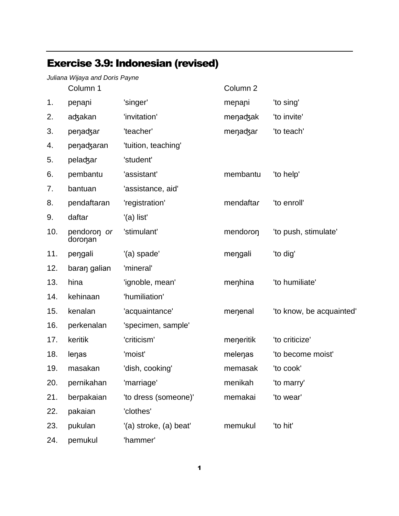## Exercise 3.9: Indonesian (revised)

|     | Juliana Wijaya and Doris Payne |                        |           |                          |
|-----|--------------------------------|------------------------|-----------|--------------------------|
|     | Column 1                       |                        | Column 2  |                          |
| 1.  | penani                         | 'singer'               | menani    | 'to sing'                |
| 2.  | adzakan                        | 'invitation'           | menadzak  | 'to invite'              |
| 3.  | penadzar                       | 'teacher'              | menadzar  | 'to teach'               |
| 4.  | penadzaran                     | 'tuition, teaching'    |           |                          |
| 5.  | peladzar                       | 'student'              |           |                          |
| 6.  | pembantu                       | 'assistant'            | membantu  | 'to help'                |
| 7.  | bantuan                        | 'assistance, aid'      |           |                          |
| 8.  | pendaftaran                    | 'registration'         | mendaftar | 'to enroll'              |
| 9.  | daftar                         | '(a) list'             |           |                          |
| 10. | pendoron or<br>doronan         | 'stimulant'            | mendoron  | 'to push, stimulate'     |
| 11. | pengali                        | '(a) spade'            | mengali   | 'to dig'                 |
| 12. | baran galian                   | 'mineral'              |           |                          |
| 13. | hina                           | 'ignoble, mean'        | menhina   | 'to humiliate'           |
| 14. | kehinaan                       | 'humiliation'          |           |                          |
| 15. | kenalan                        | 'acquaintance'         | menenal   | 'to know, be acquainted' |
| 16. | perkenalan                     | 'specimen, sample'     |           |                          |
| 17. | keritik                        | 'criticism'            | meneritik | 'to criticize'           |
| 18. | lenas                          | 'moist'                | melenas   | 'to become moist'        |
| 19. | masakan                        | 'dish, cooking'        | memasak   | 'to cook'                |
| 20. | pernikahan                     | 'marriage'             | menikah   | 'to marry'               |
| 21. | berpakaian                     | 'to dress (someone)'   | memakai   | 'to wear'                |
| 22. | pakaian                        | 'clothes'              |           |                          |
| 23. | pukulan                        | '(a) stroke, (a) beat' | memukul   | 'to hit'                 |
| 24. | pemukul                        | 'hammer'               |           |                          |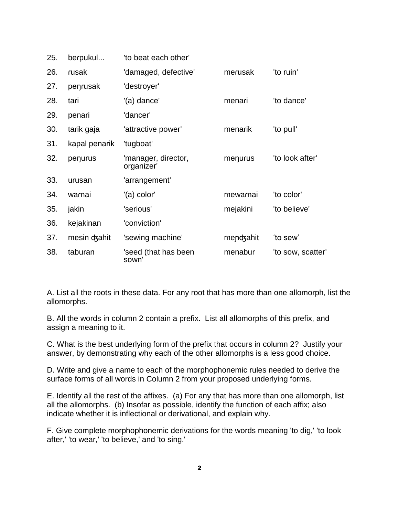| 25. | berpukul      | 'to beat each other'              |           |                   |
|-----|---------------|-----------------------------------|-----------|-------------------|
| 26. | rusak         | 'damaged, defective'              | merusak   | 'to ruin'         |
| 27. | penrusak      | 'destroyer'                       |           |                   |
| 28. | tari          | '(a) dance'                       | menari    | 'to dance'        |
| 29. | penari        | 'dancer'                          |           |                   |
| 30. | tarik gaja    | 'attractive power'                | menarik   | 'to pull'         |
| 31. | kapal penarik | 'tugboat'                         |           |                   |
| 32. | penurus       | 'manager, director,<br>organizer' | menurus   | 'to look after'   |
| 33. | urusan        | 'arrangement'                     |           |                   |
| 34. | warnai        | '(a) color'                       | mewarnai  | 'to color'        |
| 35. | jakin         | 'serious'                         | mejakini  | 'to believe'      |
| 36. | kejakinan     | 'conviction'                      |           |                   |
| 37. | mesin dzahit  | 'sewing machine'                  | mendzahit | 'to sew'          |
| 38. | taburan       | 'seed (that has been<br>sown'     | menabur   | 'to sow, scatter' |

A. List all the roots in these data. For any root that has more than one allomorph, list the allomorphs.

B. All the words in column 2 contain a prefix. List all allomorphs of this prefix, and assign a meaning to it.

C. What is the best underlying form of the prefix that occurs in column 2? Justify your answer, by demonstrating why each of the other allomorphs is a less good choice.

D. Write and give a name to each of the morphophonemic rules needed to derive the surface forms of all words in Column 2 from your proposed underlying forms.

E. Identify all the rest of the affixes. (a) For any that has more than one allomorph, list all the allomorphs. (b) Insofar as possible, identify the function of each affix; also indicate whether it is inflectional or derivational, and explain why.

F. Give complete morphophonemic derivations for the words meaning 'to dig,' 'to look after,' 'to wear,' 'to believe,' and 'to sing.'